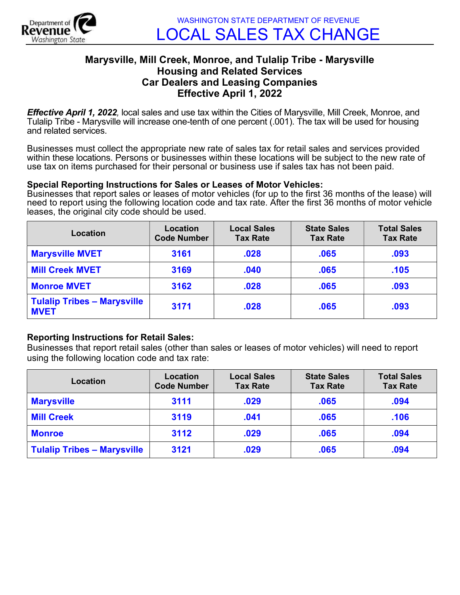

## Marysville, Mill Creek, Monroe, and Tulalip Tribe - Marysville Housing and Related Services Car Dealers and Leasing Companies Effective April 1, 2022

**Effective April 1, 2022**, local sales and use tax within the Cities of Marysville, Mill Creek, Monroe, and Tulalip Tribe - Marysville will increase one-tenth of one percent (.001). The tax will be used for housing and related services.

Businesses must collect the appropriate new rate of sales tax for retail sales and services provided within these locations. Persons or businesses within these locations will be subject to the new rate of use tax on items purchased for their personal or business use if sales tax has not been paid.

## Special Reporting Instructions for Sales or Leases of Motor Vehicles:

Businesses that report sales or leases of motor vehicles (for up to the first 36 months of the lease) will need to report using the following location code and tax rate. After the first 36 months of motor vehicle leases, the original city code should be used.

| Location                                          | Location<br><b>Code Number</b> | <b>Local Sales</b><br><b>Tax Rate</b> | <b>State Sales</b><br><b>Tax Rate</b> | <b>Total Sales</b><br><b>Tax Rate</b> |
|---------------------------------------------------|--------------------------------|---------------------------------------|---------------------------------------|---------------------------------------|
| <b>Marysville MVET</b>                            | 3161                           | .028                                  | .065                                  | .093                                  |
| <b>Mill Creek MVET</b>                            | 3169                           | .040                                  | .065                                  | .105                                  |
| <b>Monroe MVET</b>                                | 3162                           | .028                                  | .065                                  | .093                                  |
| <b>Tulalip Tribes - Marysville</b><br><b>MVET</b> | 3171                           | .028                                  | .065                                  | .093                                  |

## Reporting Instructions for Retail Sales:

Businesses that report retail sales (other than sales or leases of motor vehicles) will need to report using the following location code and tax rate:

| Location                           | Location<br><b>Code Number</b> | <b>Local Sales</b><br><b>Tax Rate</b> | <b>State Sales</b><br><b>Tax Rate</b> | <b>Total Sales</b><br><b>Tax Rate</b> |
|------------------------------------|--------------------------------|---------------------------------------|---------------------------------------|---------------------------------------|
| <b>Marysville</b>                  | 3111                           | .029                                  | .065                                  | .094                                  |
| <b>Mill Creek</b>                  | 3119                           | .041                                  | .065                                  | .106                                  |
| <b>Monroe</b>                      | 3112                           | .029                                  | .065                                  | .094                                  |
| <b>Tulalip Tribes - Marysville</b> | 3121                           | .029                                  | .065                                  | .094                                  |